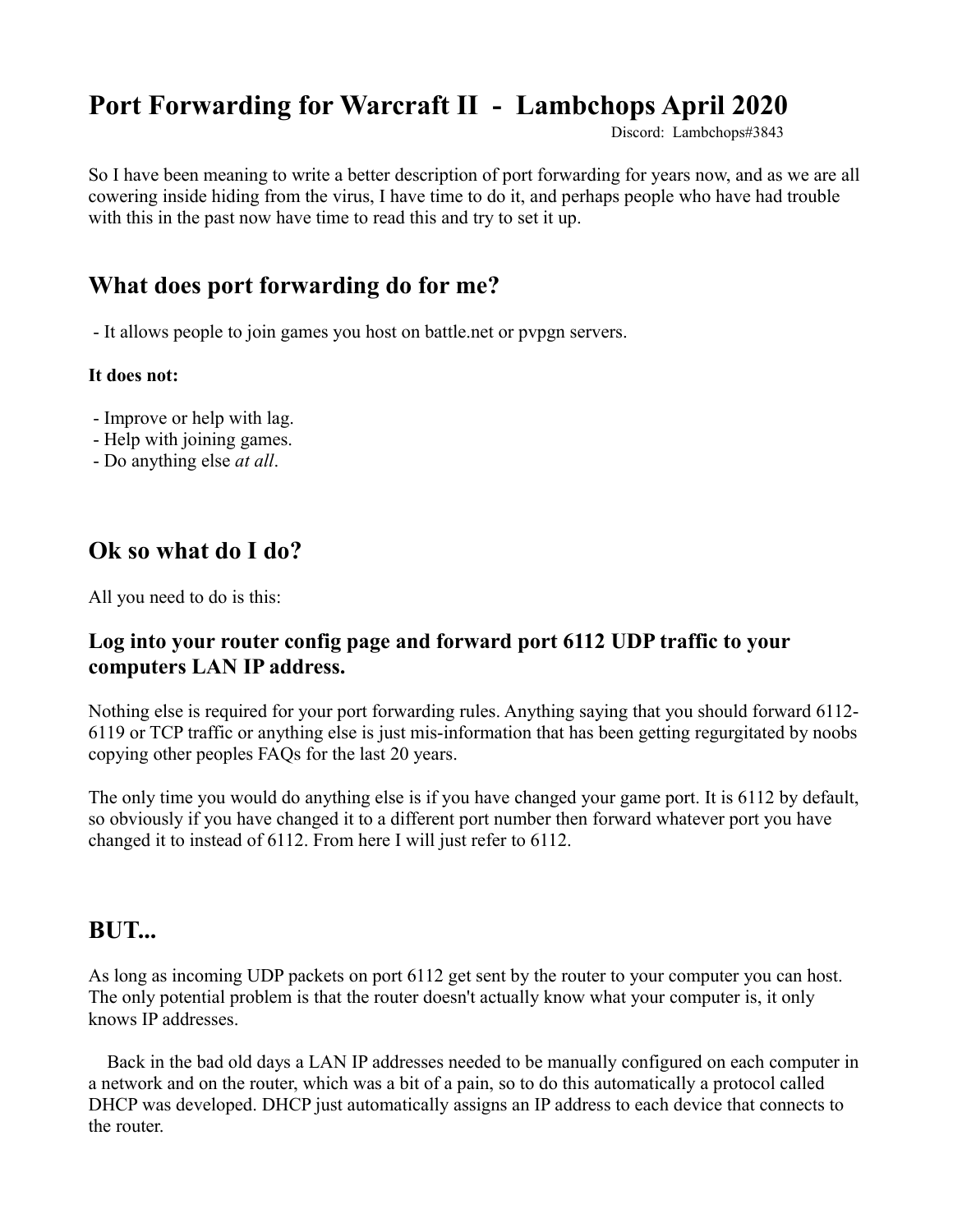# **Port Forwarding for Warcraft II - Lambchops April 2020**

Discord: Lambchops#3843

So I have been meaning to write a better description of port forwarding for years now, and as we are all cowering inside hiding from the virus, I have time to do it, and perhaps people who have had trouble with this in the past now have time to read this and try to set it up.

#### **What does port forwarding do for me?**

- It allows people to join games you host on battle.net or pvpgn servers.

#### **It does not:**

- Improve or help with lag.
- Help with joining games.
- Do anything else *at all*.

#### **Ok so what do I do?**

All you need to do is this:

#### **Log into your router config page and forward port 6112 UDP traffic to your computers LAN IP address.**

Nothing else is required for your port forwarding rules. Anything saying that you should forward 6112- 6119 or TCP traffic or anything else is just mis-information that has been getting regurgitated by noobs copying other peoples FAQs for the last 20 years.

The only time you would do anything else is if you have changed your game port. It is 6112 by default, so obviously if you have changed it to a different port number then forward whatever port you have changed it to instead of 6112. From here I will just refer to 6112.

#### **BUT...**

As long as incoming UDP packets on port 6112 get sent by the router to your computer you can host. The only potential problem is that the router doesn't actually know what your computer is, it only knows IP addresses.

 Back in the bad old days a LAN IP addresses needed to be manually configured on each computer in a network and on the router, which was a bit of a pain, so to do this automatically a protocol called DHCP was developed. DHCP just automatically assigns an IP address to each device that connects to the router.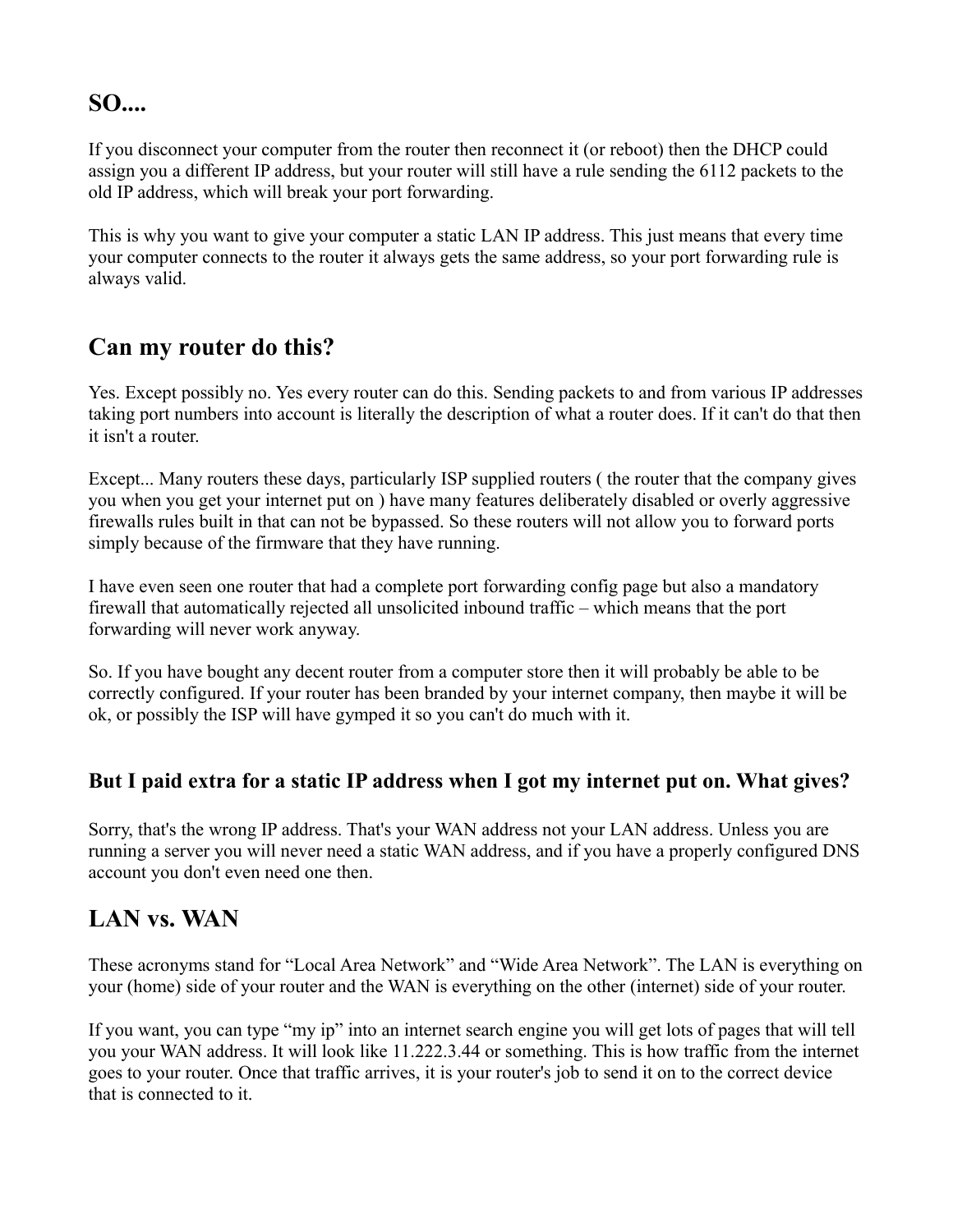## **SO....**

If you disconnect your computer from the router then reconnect it (or reboot) then the DHCP could assign you a different IP address, but your router will still have a rule sending the 6112 packets to the old IP address, which will break your port forwarding.

This is why you want to give your computer a static LAN IP address. This just means that every time your computer connects to the router it always gets the same address, so your port forwarding rule is always valid.

#### **Can my router do this?**

Yes. Except possibly no. Yes every router can do this. Sending packets to and from various IP addresses taking port numbers into account is literally the description of what a router does. If it can't do that then it isn't a router.

Except... Many routers these days, particularly ISP supplied routers ( the router that the company gives you when you get your internet put on ) have many features deliberately disabled or overly aggressive firewalls rules built in that can not be bypassed. So these routers will not allow you to forward ports simply because of the firmware that they have running.

I have even seen one router that had a complete port forwarding config page but also a mandatory firewall that automatically rejected all unsolicited inbound traffic – which means that the port forwarding will never work anyway.

So. If you have bought any decent router from a computer store then it will probably be able to be correctly configured. If your router has been branded by your internet company, then maybe it will be ok, or possibly the ISP will have gymped it so you can't do much with it.

#### **But I paid extra for a static IP address when I got my internet put on. What gives?**

Sorry, that's the wrong IP address. That's your WAN address not your LAN address. Unless you are running a server you will never need a static WAN address, and if you have a properly configured DNS account you don't even need one then.

## **LAN vs. WAN**

These acronyms stand for "Local Area Network" and "Wide Area Network". The LAN is everything on your (home) side of your router and the WAN is everything on the other (internet) side of your router.

If you want, you can type "my ip" into an internet search engine you will get lots of pages that will tell you your WAN address. It will look like 11.222.3.44 or something. This is how traffic from the internet goes to your router. Once that traffic arrives, it is your router's job to send it on to the correct device that is connected to it.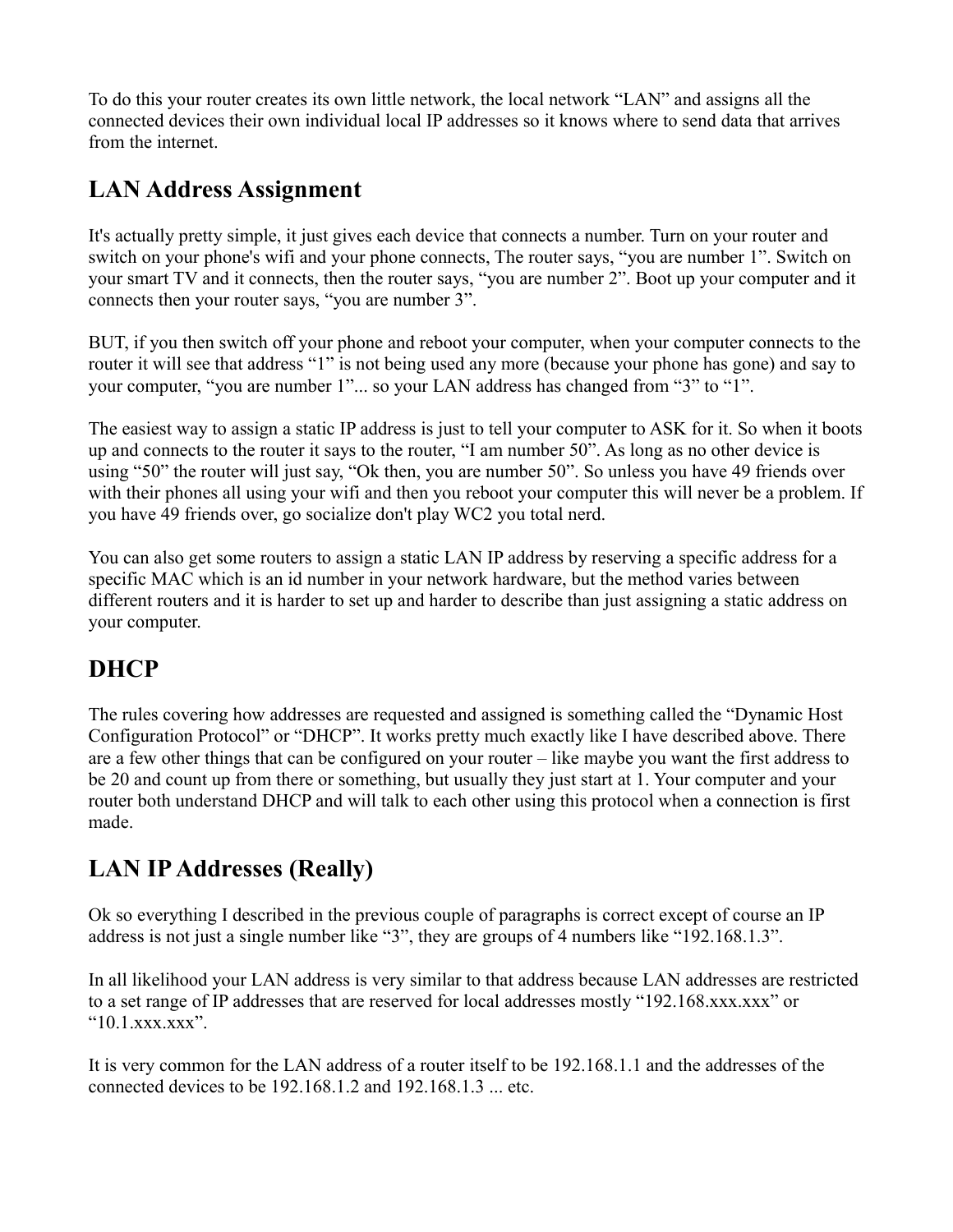To do this your router creates its own little network, the local network "LAN" and assigns all the connected devices their own individual local IP addresses so it knows where to send data that arrives from the internet.

## **LAN Address Assignment**

It's actually pretty simple, it just gives each device that connects a number. Turn on your router and switch on your phone's wifi and your phone connects, The router says, "you are number 1". Switch on your smart TV and it connects, then the router says, "you are number 2". Boot up your computer and it connects then your router says, "you are number 3".

BUT, if you then switch off your phone and reboot your computer, when your computer connects to the router it will see that address "1" is not being used any more (because your phone has gone) and say to your computer, "you are number 1"... so your LAN address has changed from "3" to "1".

The easiest way to assign a static IP address is just to tell your computer to ASK for it. So when it boots up and connects to the router it says to the router, "I am number 50". As long as no other device is using "50" the router will just say, "Ok then, you are number 50". So unless you have 49 friends over with their phones all using your wifi and then you reboot your computer this will never be a problem. If you have 49 friends over, go socialize don't play WC2 you total nerd.

You can also get some routers to assign a static LAN IP address by reserving a specific address for a specific MAC which is an id number in your network hardware, but the method varies between different routers and it is harder to set up and harder to describe than just assigning a static address on your computer.

# **DHCP**

The rules covering how addresses are requested and assigned is something called the "Dynamic Host Configuration Protocol" or "DHCP". It works pretty much exactly like I have described above. There are a few other things that can be configured on your router – like maybe you want the first address to be 20 and count up from there or something, but usually they just start at 1. Your computer and your router both understand DHCP and will talk to each other using this protocol when a connection is first made.

# **LAN IP Addresses (Really)**

Ok so everything I described in the previous couple of paragraphs is correct except of course an IP address is not just a single number like "3", they are groups of 4 numbers like "192.168.1.3".

In all likelihood your LAN address is very similar to that address because LAN addresses are restricted to a set range of IP addresses that are reserved for local addresses mostly "192.168.xxx.xxx" or " $10.1$  xxx.xxx".

It is very common for the LAN address of a router itself to be 192.168.1.1 and the addresses of the connected devices to be 192.168.1.2 and 192.168.1.3 ... etc.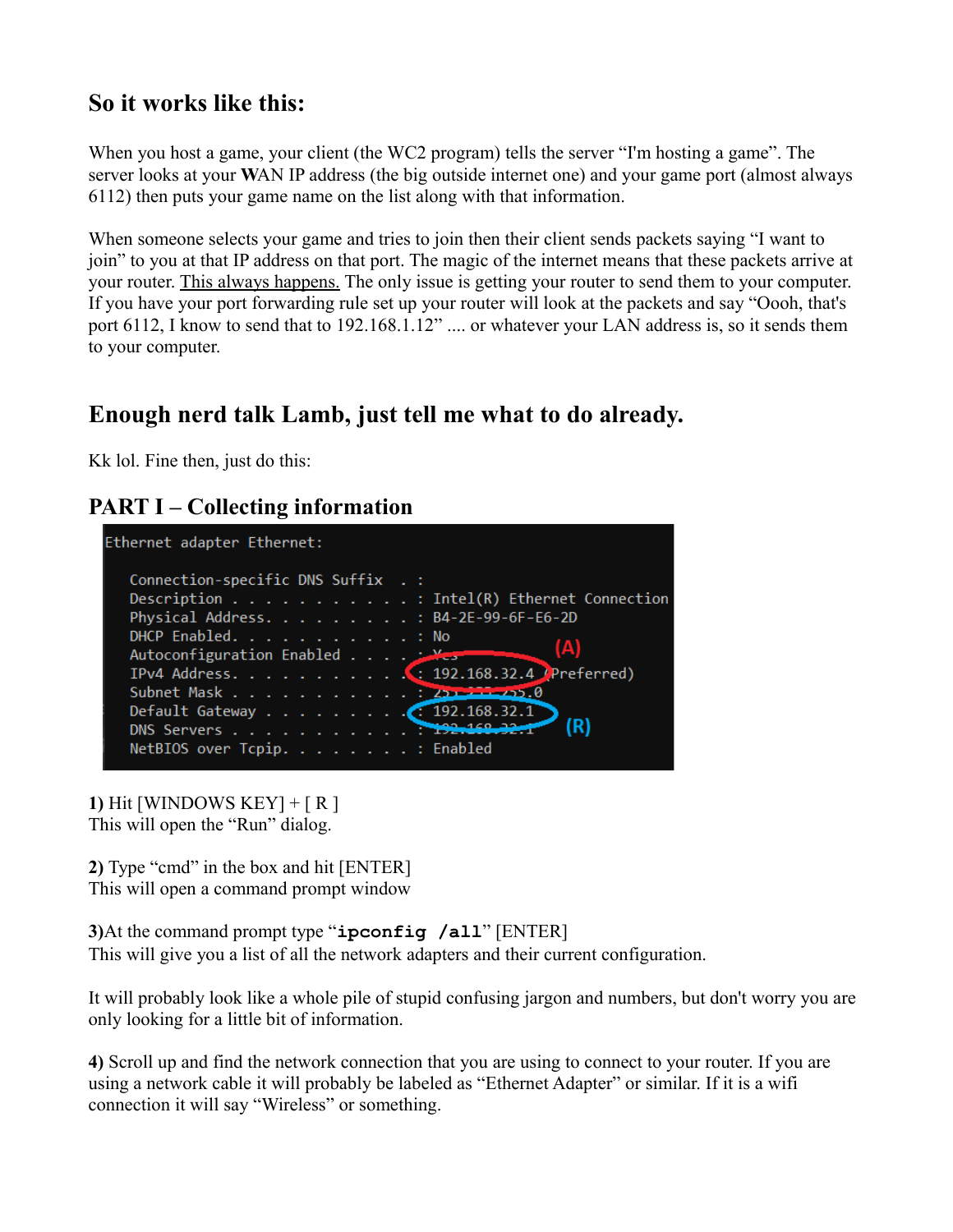#### **So it works like this:**

When you host a game, your client (the WC2 program) tells the server "I'm hosting a game". The server looks at your **W**AN IP address (the big outside internet one) and your game port (almost always 6112) then puts your game name on the list along with that information.

When someone selects your game and tries to join then their client sends packets saying "I want to join" to you at that IP address on that port. The magic of the internet means that these packets arrive at your router. This always happens. The only issue is getting your router to send them to your computer. If you have your port forwarding rule set up your router will look at the packets and say "Oooh, that's port 6112, I know to send that to 192.168.1.12" .... or whatever your LAN address is, so it sends them to your computer.

## **Enough nerd talk Lamb, just tell me what to do already.**

Kk lol. Fine then, just do this:

#### **PART I – Collecting information**



**1)** Hit [WINDOWS KEY] + [ R ] This will open the "Run" dialog.

**2)** Type "cmd" in the box and hit [ENTER] This will open a command prompt window

**3)**At the command prompt type "**ipconfig /all**" [ENTER] This will give you a list of all the network adapters and their current configuration.

It will probably look like a whole pile of stupid confusing jargon and numbers, but don't worry you are only looking for a little bit of information.

**4)** Scroll up and find the network connection that you are using to connect to your router. If you are using a network cable it will probably be labeled as "Ethernet Adapter" or similar. If it is a wifi connection it will say "Wireless" or something.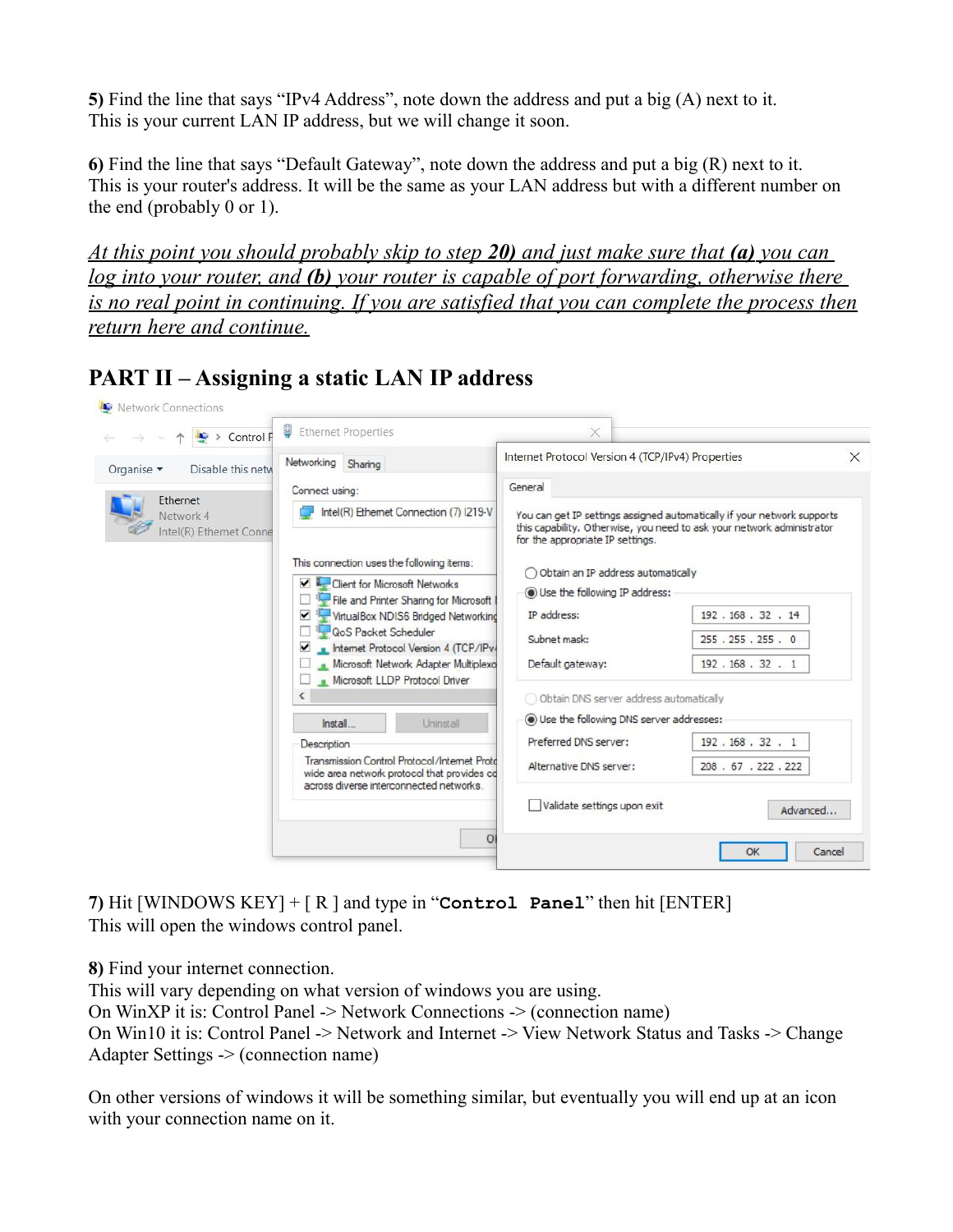**5)** Find the line that says "IPv4 Address", note down the address and put a big (A) next to it. This is your current LAN IP address, but we will change it soon.

**6)** Find the line that says "Default Gateway", note down the address and put a big (R) next to it. This is your router's address. It will be the same as your LAN address but with a different number on the end (probably 0 or 1).

 *At this point you should probably skip to step 20) and just make sure that (a) you can log into your router, and (b) your router is capable of port forwarding, otherwise there is no real point in continuing. If you are satisfied that you can complete the process then return here and continue.*

| $\rightarrow$ Control F                          | Ethernet Properties                                                                                                                    | X.                                                                                                                                                                                                                                                                      |                     |          |
|--------------------------------------------------|----------------------------------------------------------------------------------------------------------------------------------------|-------------------------------------------------------------------------------------------------------------------------------------------------------------------------------------------------------------------------------------------------------------------------|---------------------|----------|
| Organise -<br>Disable this netw                  | Networking Sharing                                                                                                                     | Internet Protocol Version 4 (TCP/IPv4) Properties                                                                                                                                                                                                                       |                     | $\times$ |
| Ethernet<br>Network 4<br>Intel(R) Ethernet Conne | Connect using:                                                                                                                         | General<br>You can get IP settings assigned automatically if your network supports<br>this capability. Otherwise, you need to ask your network administrator<br>for the appropriate IP settings.<br>Obtain an IP address automatically<br>Use the following IP address: |                     |          |
|                                                  | Intel(R) Ethernet Connection (7) I219-V                                                                                                |                                                                                                                                                                                                                                                                         |                     |          |
|                                                  | This connection uses the following items:<br>$\vee$ Lent for Microsoft Networks<br>File and Printer Sharing for Microsoft              |                                                                                                                                                                                                                                                                         |                     |          |
|                                                  | VirtualBox NDIS6 Bridged Networking<br>$\blacktriangledown$                                                                            | IP address:                                                                                                                                                                                                                                                             | 192.168.32.14       |          |
|                                                  | QoS Packet Scheduler<br>Internet Protocol Version 4 (TCP/IPv4<br>$\blacktriangledown$                                                  | Subnet mask:                                                                                                                                                                                                                                                            | 255 . 255 . 255 . 0 |          |
|                                                  | Microsoft Network Adapter Multiplexo<br>Microsoft LLDP Protocol Driver                                                                 | Default gateway:                                                                                                                                                                                                                                                        | 192, 168, 32, 1     |          |
|                                                  |                                                                                                                                        | Obtain DNS server address automatically                                                                                                                                                                                                                                 |                     |          |
|                                                  | Install<br>Uninstall                                                                                                                   | Use the following DNS server addresses:                                                                                                                                                                                                                                 |                     |          |
|                                                  | Description                                                                                                                            | Preferred DNS server:                                                                                                                                                                                                                                                   | 192.168.32.1        |          |
|                                                  | Transmission Control Protocol/Internet Proto<br>wide area network protocol that provides co<br>across diverse interconnected networks. | Alternative DNS server:                                                                                                                                                                                                                                                 | 208.67.222.222      |          |
|                                                  |                                                                                                                                        | Validate settings upon exit                                                                                                                                                                                                                                             | Advanced            |          |
|                                                  | $\Omega$                                                                                                                               |                                                                                                                                                                                                                                                                         | Cancel<br>OK        |          |

**PART II – Assigning a static LAN IP address**

**7)** Hit [WINDOWS KEY] + [ R ] and type in "**Control Panel**" then hit [ENTER] This will open the windows control panel.

**8)** Find your internet connection.

This will vary depending on what version of windows you are using. On WinXP it is: Control Panel -> Network Connections -> (connection name) On Win10 it is: Control Panel -> Network and Internet -> View Network Status and Tasks -> Change Adapter Settings -> (connection name)

On other versions of windows it will be something similar, but eventually you will end up at an icon with your connection name on it.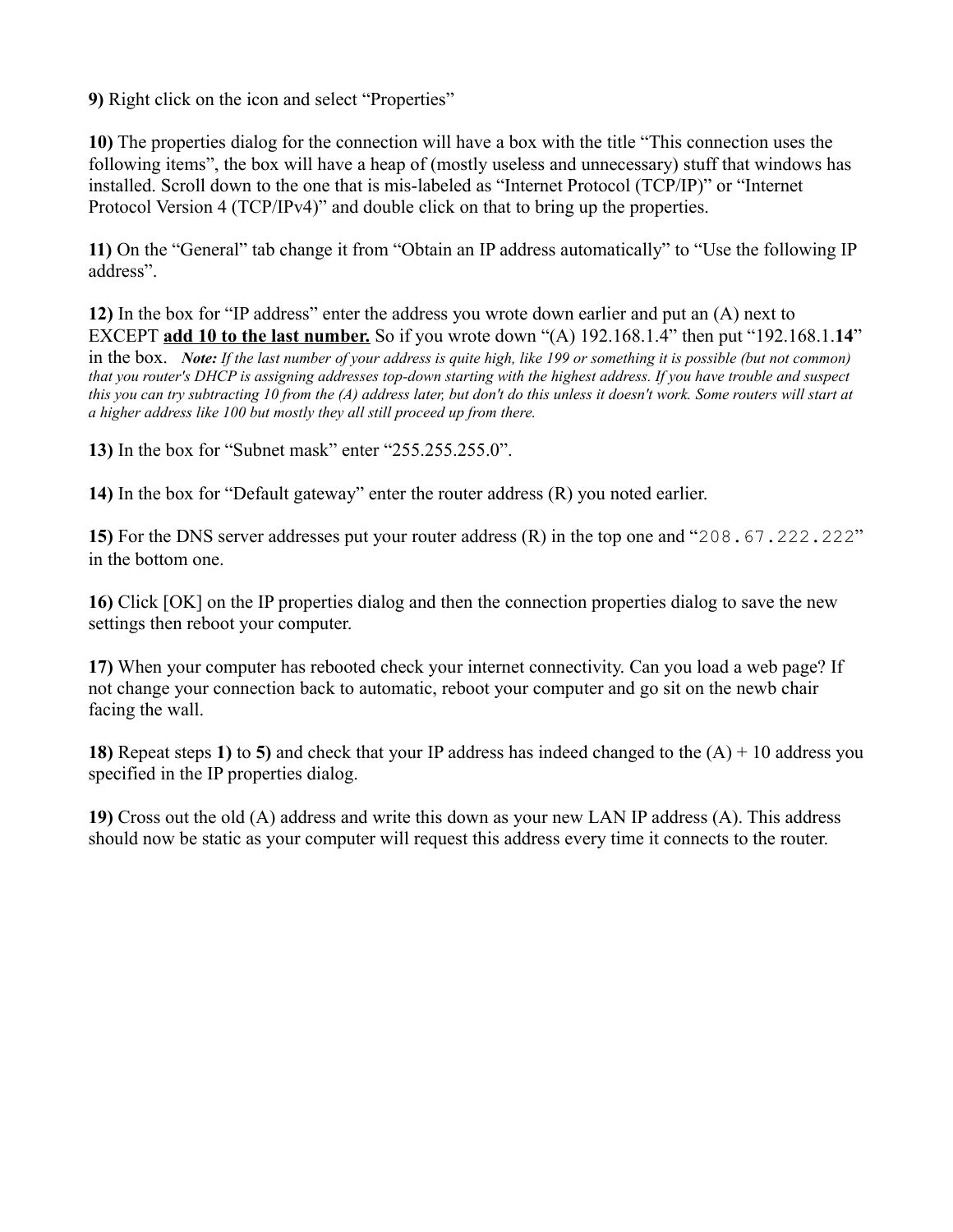**9)** Right click on the icon and select "Properties"

**10)** The properties dialog for the connection will have a box with the title "This connection uses the following items", the box will have a heap of (mostly useless and unnecessary) stuff that windows has installed. Scroll down to the one that is mis-labeled as "Internet Protocol (TCP/IP)" or "Internet Protocol Version 4 (TCP/IPv4)" and double click on that to bring up the properties.

**11)** On the "General" tab change it from "Obtain an IP address automatically" to "Use the following IP address".

**12)** In the box for "IP address" enter the address you wrote down earlier and put an (A) next to EXCEPT **add 10 to the last number.** So if you wrote down "(A) 192.168.1.4" then put "192.168.1.**14**" in the box. *Note: If the last number of your address is quite high, like 199 or something it is possible (but not common) that you router's DHCP is assigning addresses top-down starting with the highest address. If you have trouble and suspect this you can try subtracting 10 from the (A) address later, but don't do this unless it doesn't work. Some routers will start at a higher address like 100 but mostly they all still proceed up from there.*

**13)** In the box for "Subnet mask" enter "255.255.255.0".

**14)** In the box for "Default gateway" enter the router address (R) you noted earlier.

**15)** For the DNS server addresses put your router address (R) in the top one and "208.67.222.222" in the bottom one.

**16)** Click [OK] on the IP properties dialog and then the connection properties dialog to save the new settings then reboot your computer.

**17)** When your computer has rebooted check your internet connectivity. Can you load a web page? If not change your connection back to automatic, reboot your computer and go sit on the newb chair facing the wall.

**18)** Repeat steps **1)** to **5)** and check that your IP address has indeed changed to the (A) + 10 address you specified in the IP properties dialog.

**19)** Cross out the old (A) address and write this down as your new LAN IP address (A). This address should now be static as your computer will request this address every time it connects to the router.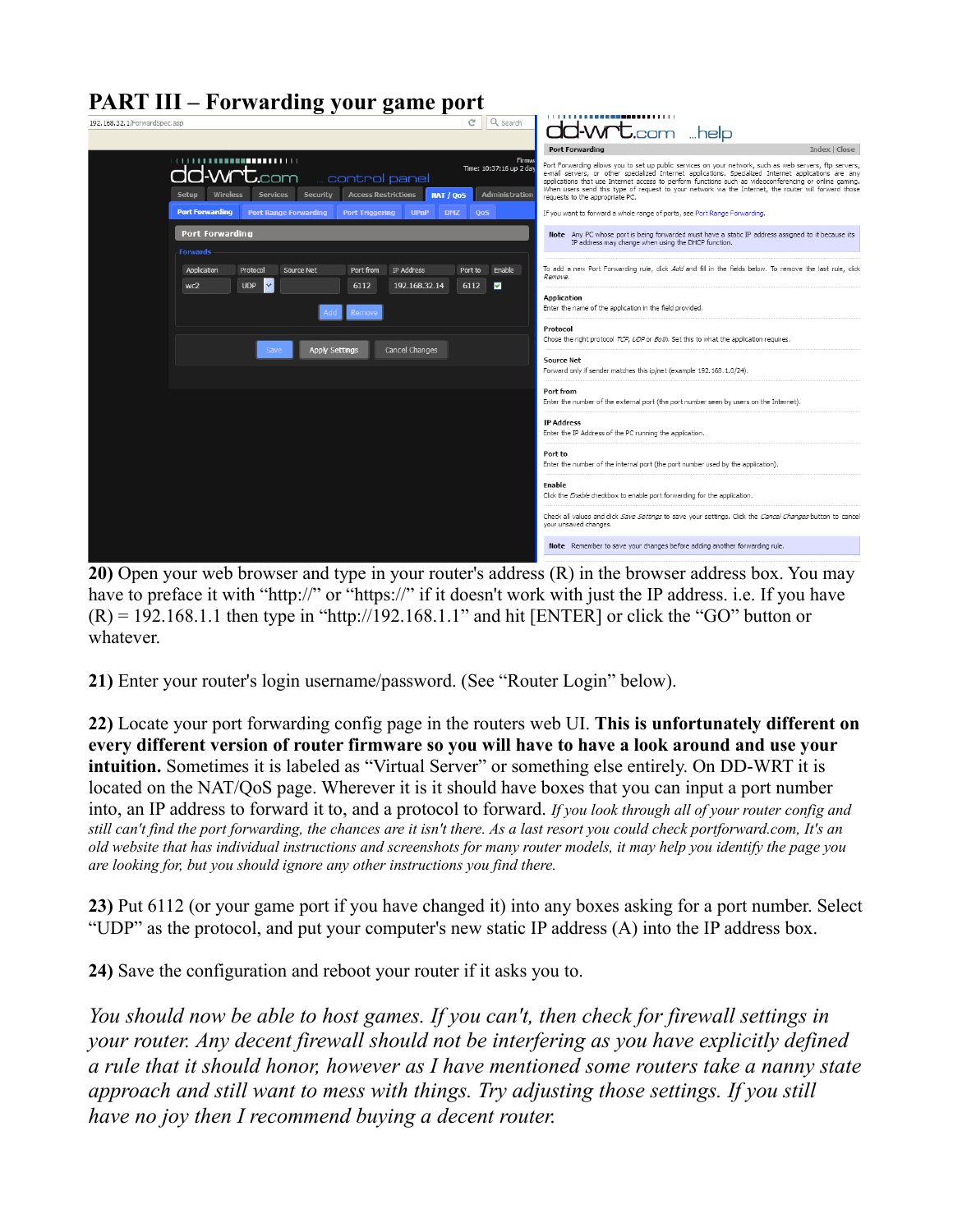

**20)** Open your web browser and type in your router's address (R) in the browser address box. You may have to preface it with "http://" or "https://" if it doesn't work with just the IP address. i.e. If you have  $(R) = 192.168.1.1$  then type in "http://192.168.1.1" and hit [ENTER] or click the "GO" button or whatever.

**21)** Enter your router's login username/password. (See "Router Login" below).

**22)** Locate your port forwarding config page in the routers web UI. **This is unfortunately different on every different version of router firmware so you will have to have a look around and use your intuition.** Sometimes it is labeled as "Virtual Server" or something else entirely. On DD-WRT it is located on the NAT/QoS page. Wherever it is it should have boxes that you can input a port number into, an IP address to forward it to, and a protocol to forward. *If you look through all of your router config and still can't find the port forwarding, the chances are it isn't there. As a last resort you could check portforward.com, It's an old website that has individual instructions and screenshots for many router models, it may help you identify the page you are looking for, but you should ignore any other instructions you find there.*

**23)** Put 6112 (or your game port if you have changed it) into any boxes asking for a port number. Select "UDP" as the protocol, and put your computer's new static IP address (A) into the IP address box.

**24)** Save the configuration and reboot your router if it asks you to.

*You should now be able to host games. If you can't, then check for firewall settings in your router. Any decent firewall should not be interfering as you have explicitly defined a rule that it should honor, however as I have mentioned some routers take a nanny state approach and still want to mess with things. Try adjusting those settings. If you still have no joy then I recommend buying a decent router.*